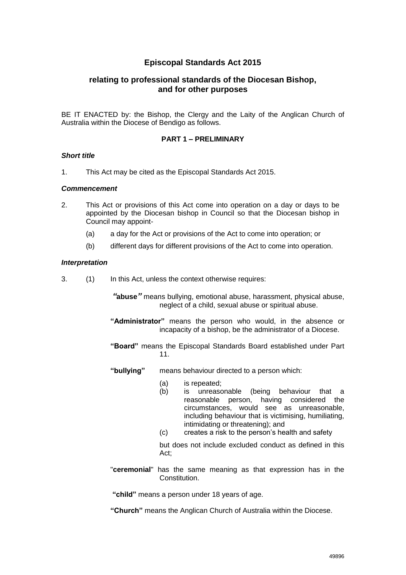# **Episcopal Standards Act 2015**

# **relating to professional standards of the Diocesan Bishop, and for other purposes**

BE IT ENACTED by: the Bishop, the Clergy and the Laity of the Anglican Church of Australia within the Diocese of Bendigo as follows.

# **PART 1 – PRELIMINARY**

## *Short title*

1. This Act may be cited as the Episcopal Standards Act 2015.

## *Commencement*

- 2. This Act or provisions of this Act come into operation on a day or days to be appointed by the Diocesan bishop in Council so that the Diocesan bishop in Council may appoint-
	- (a) a day for the Act or provisions of the Act to come into operation; or
	- (b) different days for different provisions of the Act to come into operation.

## *Interpretation*

3. (1) In this Act, unless the context otherwise requires:

*"***abuse***"* means bullying, emotional abuse, harassment, physical abuse, neglect of a child, sexual abuse or spiritual abuse.

- **"Administrator"** means the person who would, in the absence or incapacity of a bishop, be the administrator of a Diocese.
- **"Board"** means the Episcopal Standards Board established under Part 11.
- **"bullying"** means behaviour directed to a person which:
	- (a) is repeated;
	- (b) is unreasonable (being behaviour that a reasonable person, having considered the circumstances, would see as unreasonable, including behaviour that is victimising, humiliating, intimidating or threatening); and
	- (c) creates a risk to the person's health and safety

but does not include excluded conduct as defined in this Act<sup>-</sup>

"**ceremonial**" has the same meaning as that expression has in the Constitution.

**"child"** means a person under 18 years of age.

**"Church"** means the Anglican Church of Australia within the Diocese.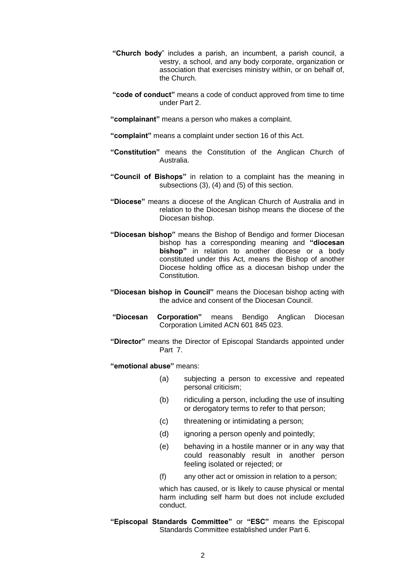- **"Church body**" includes a parish, an incumbent, a parish council, a vestry, a school, and any body corporate, organization or association that exercises ministry within, or on behalf of, the Church.
- **"code of conduct"** means a code of conduct approved from time to time under Part 2.
- **"complainant"** means a person who makes a complaint.
- **"complaint"** means a complaint under section 16 of this Act.
- **"Constitution"** means the Constitution of the Anglican Church of Australia.
- **"Council of Bishops"** in relation to a complaint has the meaning in subsections (3), (4) and (5) of this section.
- **"Diocese"** means a diocese of the Anglican Church of Australia and in relation to the Diocesan bishop means the diocese of the Diocesan bishop.
- **"Diocesan bishop"** means the Bishop of Bendigo and former Diocesan bishop has a corresponding meaning and **"diocesan bishop"** in relation to another diocese or a body constituted under this Act, means the Bishop of another Diocese holding office as a diocesan bishop under the Constitution.
- **"Diocesan bishop in Council"** means the Diocesan bishop acting with the advice and consent of the Diocesan Council.
- **"Diocesan Corporation"** means Bendigo Anglican Diocesan Corporation Limited ACN 601 845 023.
- **"Director"** means the Director of Episcopal Standards appointed under Part 7.
- **"emotional abuse"** means:
	- (a) subjecting a person to excessive and repeated personal criticism;
	- (b) ridiculing a person, including the use of insulting or derogatory terms to refer to that person;
	- (c) threatening or intimidating a person;
	- (d) ignoring a person openly and pointedly;
	- (e) behaving in a hostile manner or in any way that could reasonably result in another person feeling isolated or rejected; or
	- (f) any other act or omission in relation to a person;

which has caused, or is likely to cause physical or mental harm including self harm but does not include excluded conduct.

**"Episcopal Standards Committee"** or **"ESC"** means the Episcopal Standards Committee established under Part 6.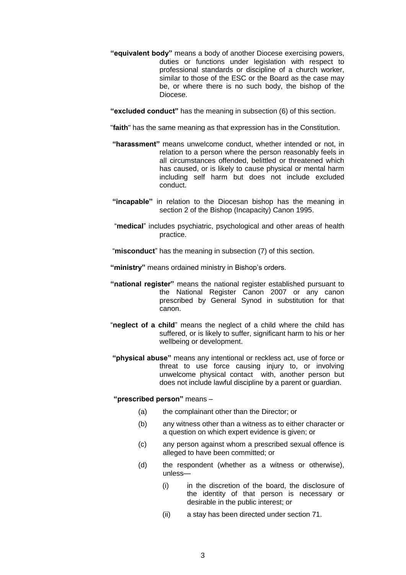- **"equivalent body"** means a body of another Diocese exercising powers, duties or functions under legislation with respect to professional standards or discipline of a church worker, similar to those of the ESC or the Board as the case may be, or where there is no such body, the bishop of the Diocese.
- **"excluded conduct"** has the meaning in subsection (6) of this section.

"**faith**" has the same meaning as that expression has in the Constitution.

- **"harassment"** means unwelcome conduct, whether intended or not, in relation to a person where the person reasonably feels in all circumstances offended, belittled or threatened which has caused, or is likely to cause physical or mental harm including self harm but does not include excluded conduct.
- **"incapable"** in relation to the Diocesan bishop has the meaning in section 2 of the Bishop (Incapacity) Canon 1995.
- "**medical**" includes psychiatric, psychological and other areas of health practice.
- "**misconduct**" has the meaning in subsection (7) of this section.
- **"ministry"** means ordained ministry in Bishop's orders.
- **"national register"** means the national register established pursuant to the National Register Canon 2007 or any canon prescribed by General Synod in substitution for that canon.
- "**neglect of a child**" means the neglect of a child where the child has suffered, or is likely to suffer, significant harm to his or her wellbeing or development.
- **"physical abuse"** means any intentional or reckless act, use of force or threat to use force causing injury to, or involving unwelcome physical contact with, another person but does not include lawful discipline by a parent or guardian.

# **"prescribed person"** means –

- (a) the complainant other than the Director; or
- (b) any witness other than a witness as to either character or a question on which expert evidence is given; or
- (c) any person against whom a prescribed sexual offence is alleged to have been committed; or
- (d) the respondent (whether as a witness or otherwise), unless—
	- (i) in the discretion of the board, the disclosure of the identity of that person is necessary or desirable in the public interest; or
	- (ii) a stay has been directed under section 71.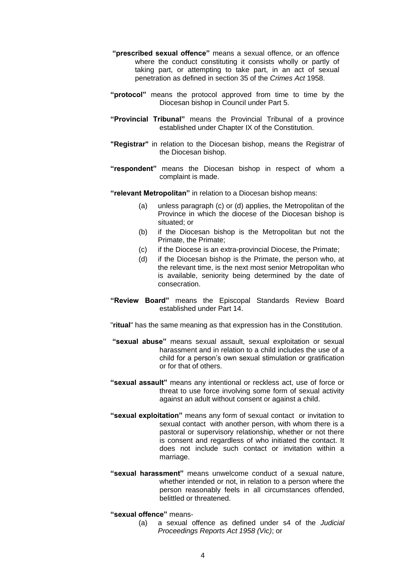- **"prescribed sexual offence"** means a sexual offence, or an offence where the conduct constituting it consists wholly or partly of taking part, or attempting to take part, in an act of sexual penetration as defined in section 35 of the *Crimes Act* 1958.
- **"protocol"** means the protocol approved from time to time by the Diocesan bishop in Council under Part 5.
- **"Provincial Tribunal"** means the Provincial Tribunal of a province established under Chapter IX of the Constitution.
- **"Registrar"** in relation to the Diocesan bishop, means the Registrar of the Diocesan bishop.
- **"respondent"** means the Diocesan bishop in respect of whom a complaint is made.

**"relevant Metropolitan"** in relation to a Diocesan bishop means:

- (a) unless paragraph (c) or (d) applies, the Metropolitan of the Province in which the diocese of the Diocesan bishop is situated; or
- (b) if the Diocesan bishop is the Metropolitan but not the Primate, the Primate;
- (c) if the Diocese is an extra-provincial Diocese, the Primate;
- (d) if the Diocesan bishop is the Primate, the person who, at the relevant time, is the next most senior Metropolitan who is available, seniority being determined by the date of consecration.
- **"Review Board"** means the Episcopal Standards Review Board established under Part 14.
- "**ritual**" has the same meaning as that expression has in the Constitution.
- **"sexual abuse"** means sexual assault, sexual exploitation or sexual harassment and in relation to a child includes the use of a child for a person's own sexual stimulation or gratification or for that of others.
- **"sexual assault"** means any intentional or reckless act, use of force or threat to use force involving some form of sexual activity against an adult without consent or against a child.
- **"sexual exploitation"** means any form of sexual contact or invitation to sexual contact with another person, with whom there is a pastoral or supervisory relationship, whether or not there is consent and regardless of who initiated the contact. It does not include such contact or invitation within a marriage.
- **"sexual harassment"** means unwelcome conduct of a sexual nature, whether intended or not, in relation to a person where the person reasonably feels in all circumstances offended, belittled or threatened.
- **"sexual offence"** means-
	- (a) a sexual offence as defined under s4 of the *Judicial Proceedings Reports Act 1958 (Vic)*; or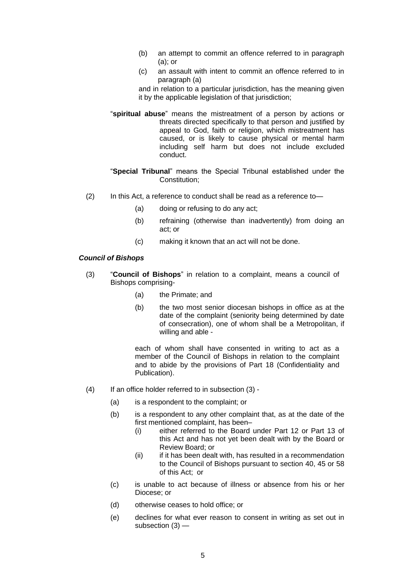- (b) an attempt to commit an offence referred to in paragraph (a); or
- (c) an assault with intent to commit an offence referred to in paragraph (a)

and in relation to a particular jurisdiction, has the meaning given it by the applicable legislation of that jurisdiction;

- "**spiritual abuse**" means the mistreatment of a person by actions or threats directed specifically to that person and justified by appeal to God, faith or religion, which mistreatment has caused, or is likely to cause physical or mental harm including self harm but does not include excluded conduct.
- "**Special Tribunal**" means the Special Tribunal established under the Constitution;
- (2) In this Act, a reference to conduct shall be read as a reference to—
	- (a) doing or refusing to do any act;
	- (b) refraining (otherwise than inadvertently) from doing an act; or
	- (c) making it known that an act will not be done.

#### *Council of Bishops*

- (3) "**Council of Bishops**" in relation to a complaint, means a council of Bishops comprising-
	- (a) the Primate; and
	- (b) the two most senior diocesan bishops in office as at the date of the complaint (seniority being determined by date of consecration), one of whom shall be a Metropolitan, if willing and able -

each of whom shall have consented in writing to act as a member of the Council of Bishops in relation to the complaint and to abide by the provisions of Part 18 (Confidentiality and Publication).

- (4) If an office holder referred to in subsection (3)
	- (a) is a respondent to the complaint; or
	- (b) is a respondent to any other complaint that, as at the date of the first mentioned complaint, has been–
		- (i) either referred to the Board under Part 12 or Part 13 of this Act and has not yet been dealt with by the Board or Review Board; or
		- (ii) if it has been dealt with, has resulted in a recommendation to the Council of Bishops pursuant to section 40, 45 or 58 of this Act; or
	- (c) is unable to act because of illness or absence from his or her Diocese; or
	- (d) otherwise ceases to hold office; or
	- (e) declines for what ever reason to consent in writing as set out in subsection (3) —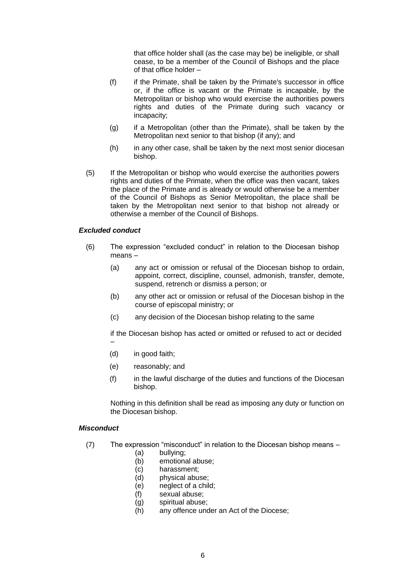that office holder shall (as the case may be) be ineligible, or shall cease, to be a member of the Council of Bishops and the place of that office holder –

- (f) if the Primate, shall be taken by the Primate's successor in office or, if the office is vacant or the Primate is incapable, by the Metropolitan or bishop who would exercise the authorities powers rights and duties of the Primate during such vacancy or incapacity;
- (g) if a Metropolitan (other than the Primate), shall be taken by the Metropolitan next senior to that bishop (if any); and
- (h) in any other case, shall be taken by the next most senior diocesan bishop.
- (5) If the Metropolitan or bishop who would exercise the authorities powers rights and duties of the Primate, when the office was then vacant, takes the place of the Primate and is already or would otherwise be a member of the Council of Bishops as Senior Metropolitan, the place shall be taken by the Metropolitan next senior to that bishop not already or otherwise a member of the Council of Bishops.

#### *Excluded conduct*

- (6) The expression "excluded conduct" in relation to the Diocesan bishop means –
	- (a) any act or omission or refusal of the Diocesan bishop to ordain, appoint, correct, discipline, counsel, admonish, transfer, demote, suspend, retrench or dismiss a person; or
	- (b) any other act or omission or refusal of the Diocesan bishop in the course of episcopal ministry; or
	- (c) any decision of the Diocesan bishop relating to the same

if the Diocesan bishop has acted or omitted or refused to act or decided –

- (d) in good faith;
- (e) reasonably; and
- (f) in the lawful discharge of the duties and functions of the Diocesan bishop.

Nothing in this definition shall be read as imposing any duty or function on the Diocesan bishop.

#### *Misconduct*

- (7) The expression "misconduct" in relation to the Diocesan bishop means
	- (a) bullying;
	- (b) emotional abuse;
	- (c) harassment;
	- (d) physical abuse;
	- (e) neglect of a child;
	- (f) sexual abuse;
	- (g) spiritual abuse;
	- (h) any offence under an Act of the Diocese;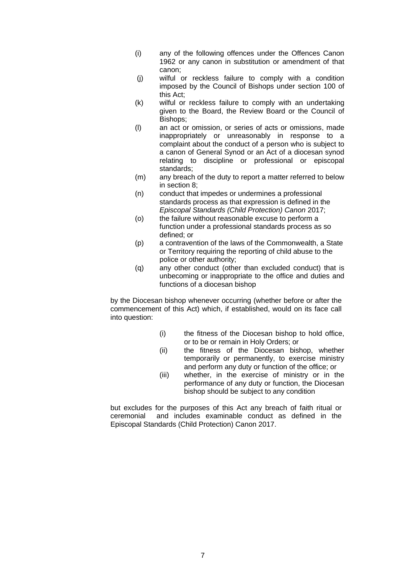- (i) any of the following offences under the Offences Canon 1962 or any canon in substitution or amendment of that canon;
- (j) wilful or reckless failure to comply with a condition imposed by the Council of Bishops under section 100 of this Act;
- (k) wilful or reckless failure to comply with an undertaking given to the Board, the Review Board or the Council of Bishops;
- (l) an act or omission, or series of acts or omissions, made inappropriately or unreasonably in response to a complaint about the conduct of a person who is subject to a canon of General Synod or an Act of a diocesan synod relating to discipline or professional or episcopal standards;
- (m) any breach of the duty to report a matter referred to below in section 8;
- (n) conduct that impedes or undermines a professional standards process as that expression is defined in the *Episcopal Standards (Child Protection) Canon* 2017;
- (o) the failure without reasonable excuse to perform a function under a professional standards process as so defined; or
- (p) a contravention of the laws of the Commonwealth, a State or Territory requiring the reporting of child abuse to the police or other authority;
- (q) any other conduct (other than excluded conduct) that is unbecoming or inappropriate to the office and duties and functions of a diocesan bishop

by the Diocesan bishop whenever occurring (whether before or after the commencement of this Act) which, if established, would on its face call into question:

- (i) the fitness of the Diocesan bishop to hold office, or to be or remain in Holy Orders; or
- (ii) the fitness of the Diocesan bishop, whether temporarily or permanently, to exercise ministry and perform any duty or function of the office; or
- (iii) whether, in the exercise of ministry or in the performance of any duty or function, the Diocesan bishop should be subject to any condition

but excludes for the purposes of this Act any breach of faith ritual or ceremonial and includes examinable conduct as defined in the Episcopal Standards (Child Protection) Canon 2017.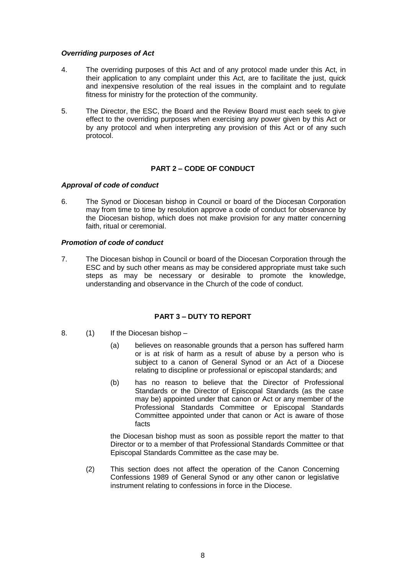# *Overriding purposes of Act*

- 4. The overriding purposes of this Act and of any protocol made under this Act, in their application to any complaint under this Act, are to facilitate the just, quick and inexpensive resolution of the real issues in the complaint and to regulate fitness for ministry for the protection of the community.
- 5. The Director, the ESC, the Board and the Review Board must each seek to give effect to the overriding purposes when exercising any power given by this Act or by any protocol and when interpreting any provision of this Act or of any such protocol.

# **PART 2 – CODE OF CONDUCT**

## *Approval of code of conduct*

6. The Synod or Diocesan bishop in Council or board of the Diocesan Corporation may from time to time by resolution approve a code of conduct for observance by the Diocesan bishop, which does not make provision for any matter concerning faith, ritual or ceremonial.

## *Promotion of code of conduct*

7. The Diocesan bishop in Council or board of the Diocesan Corporation through the ESC and by such other means as may be considered appropriate must take such steps as may be necessary or desirable to promote the knowledge, understanding and observance in the Church of the code of conduct.

# **PART 3 – DUTY TO REPORT**

- 8. (1) If the Diocesan bishop
	- (a) believes on reasonable grounds that a person has suffered harm or is at risk of harm as a result of abuse by a person who is subject to a canon of General Synod or an Act of a Diocese relating to discipline or professional or episcopal standards; and
	- (b) has no reason to believe that the Director of Professional Standards or the Director of Episcopal Standards (as the case may be) appointed under that canon or Act or any member of the Professional Standards Committee or Episcopal Standards Committee appointed under that canon or Act is aware of those facts

the Diocesan bishop must as soon as possible report the matter to that Director or to a member of that Professional Standards Committee or that Episcopal Standards Committee as the case may be.

(2) This section does not affect the operation of the Canon Concerning Confessions 1989 of General Synod or any other canon or legislative instrument relating to confessions in force in the Diocese.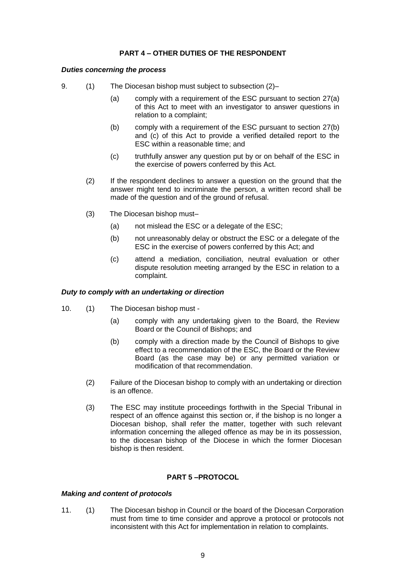# **PART 4 – OTHER DUTIES OF THE RESPONDENT**

## *Duties concerning the process*

- 9. (1) The Diocesan bishop must subject to subsection (2)–
	- (a) comply with a requirement of the ESC pursuant to section 27(a) of this Act to meet with an investigator to answer questions in relation to a complaint;
	- (b) comply with a requirement of the ESC pursuant to section 27(b) and (c) of this Act to provide a verified detailed report to the ESC within a reasonable time; and
	- (c) truthfully answer any question put by or on behalf of the ESC in the exercise of powers conferred by this Act.
	- (2) If the respondent declines to answer a question on the ground that the answer might tend to incriminate the person, a written record shall be made of the question and of the ground of refusal.
	- (3) The Diocesan bishop must–
		- (a) not mislead the ESC or a delegate of the ESC;
		- (b) not unreasonably delay or obstruct the ESC or a delegate of the ESC in the exercise of powers conferred by this Act; and
		- (c) attend a mediation, conciliation, neutral evaluation or other dispute resolution meeting arranged by the ESC in relation to a complaint.

#### *Duty to comply with an undertaking or direction*

- 10. (1) The Diocesan bishop must
	- (a) comply with any undertaking given to the Board, the Review Board or the Council of Bishops; and
	- (b) comply with a direction made by the Council of Bishops to give effect to a recommendation of the ESC, the Board or the Review Board (as the case may be) or any permitted variation or modification of that recommendation.
	- (2) Failure of the Diocesan bishop to comply with an undertaking or direction is an offence.
	- (3) The ESC may institute proceedings forthwith in the Special Tribunal in respect of an offence against this section or, if the bishop is no longer a Diocesan bishop, shall refer the matter, together with such relevant information concerning the alleged offence as may be in its possession, to the diocesan bishop of the Diocese in which the former Diocesan bishop is then resident.

## **PART 5 –PROTOCOL**

#### *Making and content of protocols*

11. (1) The Diocesan bishop in Council or the board of the Diocesan Corporation must from time to time consider and approve a protocol or protocols not inconsistent with this Act for implementation in relation to complaints.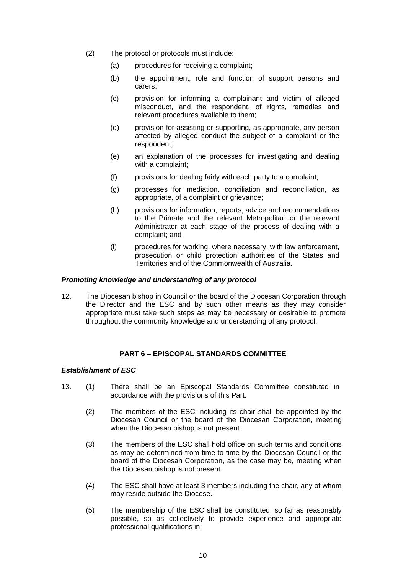- (2) The protocol or protocols must include:
	- (a) procedures for receiving a complaint;
	- (b) the appointment, role and function of support persons and carers;
	- (c) provision for informing a complainant and victim of alleged misconduct, and the respondent, of rights, remedies and relevant procedures available to them;
	- (d) provision for assisting or supporting, as appropriate, any person affected by alleged conduct the subject of a complaint or the respondent;
	- (e) an explanation of the processes for investigating and dealing with a complaint;
	- (f) provisions for dealing fairly with each party to a complaint;
	- (g) processes for mediation, conciliation and reconciliation, as appropriate, of a complaint or grievance;
	- (h) provisions for information, reports, advice and recommendations to the Primate and the relevant Metropolitan or the relevant Administrator at each stage of the process of dealing with a complaint; and
	- (i) procedures for working, where necessary, with law enforcement, prosecution or child protection authorities of the States and Territories and of the Commonwealth of Australia.

## *Promoting knowledge and understanding of any protocol*

12. The Diocesan bishop in Council or the board of the Diocesan Corporation through the Director and the ESC and by such other means as they may consider appropriate must take such steps as may be necessary or desirable to promote throughout the community knowledge and understanding of any protocol.

# **PART 6 – EPISCOPAL STANDARDS COMMITTEE**

# *Establishment of ESC*

- 13. (1) There shall be an Episcopal Standards Committee constituted in accordance with the provisions of this Part.
	- (2) The members of the ESC including its chair shall be appointed by the Diocesan Council or the board of the Diocesan Corporation, meeting when the Diocesan bishop is not present.
	- (3) The members of the ESC shall hold office on such terms and conditions as may be determined from time to time by the Diocesan Council or the board of the Diocesan Corporation, as the case may be, meeting when the Diocesan bishop is not present.
	- (4) The ESC shall have at least 3 members including the chair, any of whom may reside outside the Diocese.
	- (5) The membership of the ESC shall be constituted, so far as reasonably possible, so as collectively to provide experience and appropriate professional qualifications in: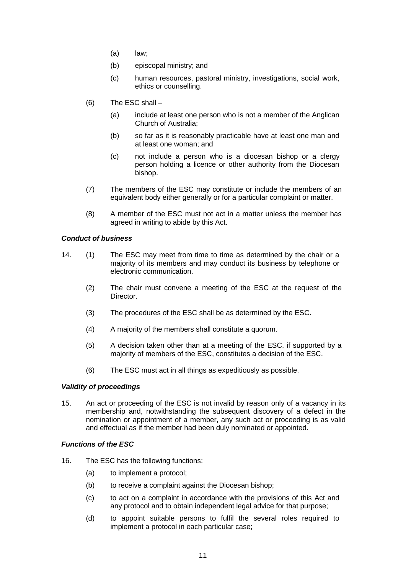- (a) law;
- (b) episcopal ministry; and
- (c) human resources, pastoral ministry, investigations, social work, ethics or counselling.
- (6) The ESC shall
	- (a) include at least one person who is not a member of the Anglican Church of Australia;
	- (b) so far as it is reasonably practicable have at least one man and at least one woman; and
	- (c) not include a person who is a diocesan bishop or a clergy person holding a licence or other authority from the Diocesan bishop.
- (7) The members of the ESC may constitute or include the members of an equivalent body either generally or for a particular complaint or matter.
- (8) A member of the ESC must not act in a matter unless the member has agreed in writing to abide by this Act.

# *Conduct of business*

- 14. (1) The ESC may meet from time to time as determined by the chair or a majority of its members and may conduct its business by telephone or electronic communication.
	- (2) The chair must convene a meeting of the ESC at the request of the Director.
	- (3) The procedures of the ESC shall be as determined by the ESC.
	- (4) A majority of the members shall constitute a quorum.
	- (5) A decision taken other than at a meeting of the ESC, if supported by a majority of members of the ESC, constitutes a decision of the ESC.
	- (6) The ESC must act in all things as expeditiously as possible.

# *Validity of proceedings*

15. An act or proceeding of the ESC is not invalid by reason only of a vacancy in its membership and, notwithstanding the subsequent discovery of a defect in the nomination or appointment of a member, any such act or proceeding is as valid and effectual as if the member had been duly nominated or appointed.

# *Functions of the ESC*

- 16. The ESC has the following functions:
	- (a) to implement a protocol;
	- (b) to receive a complaint against the Diocesan bishop;
	- (c) to act on a complaint in accordance with the provisions of this Act and any protocol and to obtain independent legal advice for that purpose;
	- (d) to appoint suitable persons to fulfil the several roles required to implement a protocol in each particular case;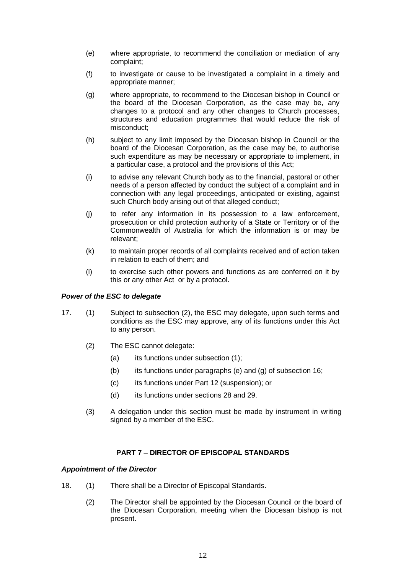- (e) where appropriate, to recommend the conciliation or mediation of any complaint;
- (f) to investigate or cause to be investigated a complaint in a timely and appropriate manner;
- (g) where appropriate, to recommend to the Diocesan bishop in Council or the board of the Diocesan Corporation, as the case may be, any changes to a protocol and any other changes to Church processes, structures and education programmes that would reduce the risk of misconduct;
- (h) subject to any limit imposed by the Diocesan bishop in Council or the board of the Diocesan Corporation, as the case may be, to authorise such expenditure as may be necessary or appropriate to implement, in a particular case, a protocol and the provisions of this Act;
- (i) to advise any relevant Church body as to the financial, pastoral or other needs of a person affected by conduct the subject of a complaint and in connection with any legal proceedings, anticipated or existing, against such Church body arising out of that alleged conduct;
- (j) to refer any information in its possession to a law enforcement, prosecution or child protection authority of a State or Territory or of the Commonwealth of Australia for which the information is or may be relevant;
- (k) to maintain proper records of all complaints received and of action taken in relation to each of them; and
- (l) to exercise such other powers and functions as are conferred on it by this or any other Act or by a protocol.

# *Power of the ESC to delegate*

- 17. (1) Subject to subsection (2), the ESC may delegate, upon such terms and conditions as the ESC may approve, any of its functions under this Act to any person.
	- (2) The ESC cannot delegate:
		- (a) its functions under subsection (1);
		- (b) its functions under paragraphs (e) and  $(g)$  of subsection 16;
		- (c) its functions under Part 12 (suspension); or
		- (d) its functions under sections 28 and 29.
	- (3) A delegation under this section must be made by instrument in writing signed by a member of the ESC.

# **PART 7 – DIRECTOR OF EPISCOPAL STANDARDS**

#### *Appointment of the Director*

- 18. (1) There shall be a Director of Episcopal Standards.
	- (2) The Director shall be appointed by the Diocesan Council or the board of the Diocesan Corporation, meeting when the Diocesan bishop is not present.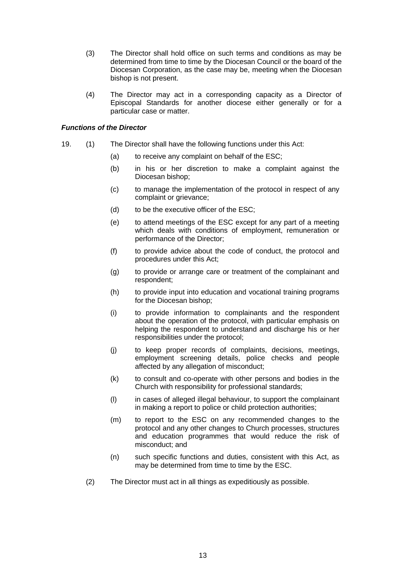- (3) The Director shall hold office on such terms and conditions as may be determined from time to time by the Diocesan Council or the board of the Diocesan Corporation, as the case may be, meeting when the Diocesan bishop is not present.
- (4) The Director may act in a corresponding capacity as a Director of Episcopal Standards for another diocese either generally or for a particular case or matter.

## *Functions of the Director*

- 19. (1) The Director shall have the following functions under this Act:
	- (a) to receive any complaint on behalf of the ESC;
	- (b) in his or her discretion to make a complaint against the Diocesan bishop;
	- (c) to manage the implementation of the protocol in respect of any complaint or grievance;
	- (d) to be the executive officer of the ESC;
	- (e) to attend meetings of the ESC except for any part of a meeting which deals with conditions of employment, remuneration or performance of the Director;
	- (f) to provide advice about the code of conduct, the protocol and procedures under this Act;
	- (g) to provide or arrange care or treatment of the complainant and respondent;
	- (h) to provide input into education and vocational training programs for the Diocesan bishop;
	- (i) to provide information to complainants and the respondent about the operation of the protocol, with particular emphasis on helping the respondent to understand and discharge his or her responsibilities under the protocol;
	- (j) to keep proper records of complaints, decisions, meetings, employment screening details, police checks and people affected by any allegation of misconduct;
	- (k) to consult and co-operate with other persons and bodies in the Church with responsibility for professional standards;
	- (l) in cases of alleged illegal behaviour, to support the complainant in making a report to police or child protection authorities;
	- (m) to report to the ESC on any recommended changes to the protocol and any other changes to Church processes, structures and education programmes that would reduce the risk of misconduct; and
	- (n) such specific functions and duties, consistent with this Act, as may be determined from time to time by the ESC.
	- (2) The Director must act in all things as expeditiously as possible.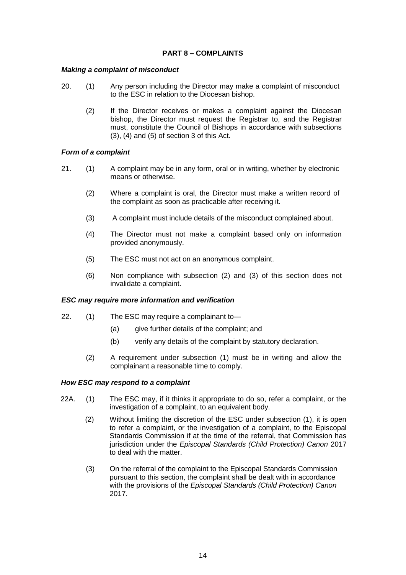# **PART 8 – COMPLAINTS**

# *Making a complaint of misconduct*

- 20. (1) Any person including the Director may make a complaint of misconduct to the ESC in relation to the Diocesan bishop.
	- (2) If the Director receives or makes a complaint against the Diocesan bishop, the Director must request the Registrar to, and the Registrar must, constitute the Council of Bishops in accordance with subsections (3), (4) and (5) of section 3 of this Act.

## *Form of a complaint*

- 21. (1) A complaint may be in any form, oral or in writing, whether by electronic means or otherwise.
	- (2) Where a complaint is oral, the Director must make a written record of the complaint as soon as practicable after receiving it.
	- (3) A complaint must include details of the misconduct complained about.
	- (4) The Director must not make a complaint based only on information provided anonymously.
	- (5) The ESC must not act on an anonymous complaint.
	- (6) Non compliance with subsection (2) and (3) of this section does not invalidate a complaint.

#### *ESC may require more information and verification*

- 22. (1) The ESC may require a complainant to—
	- (a) give further details of the complaint; and
	- (b) verify any details of the complaint by statutory declaration.
	- (2) A requirement under subsection (1) must be in writing and allow the complainant a reasonable time to comply.

#### *How ESC may respond to a complaint*

- 22A. (1) The ESC may, if it thinks it appropriate to do so, refer a complaint, or the investigation of a complaint, to an equivalent body.
	- (2) Without limiting the discretion of the ESC under subsection (1), it is open to refer a complaint, or the investigation of a complaint, to the Episcopal Standards Commission if at the time of the referral, that Commission has jurisdiction under the *Episcopal Standards (Child Protection) Canon* 2017 to deal with the matter.
	- (3) On the referral of the complaint to the Episcopal Standards Commission pursuant to this section, the complaint shall be dealt with in accordance with the provisions of the *Episcopal Standards (Child Protection) Canon* 2017.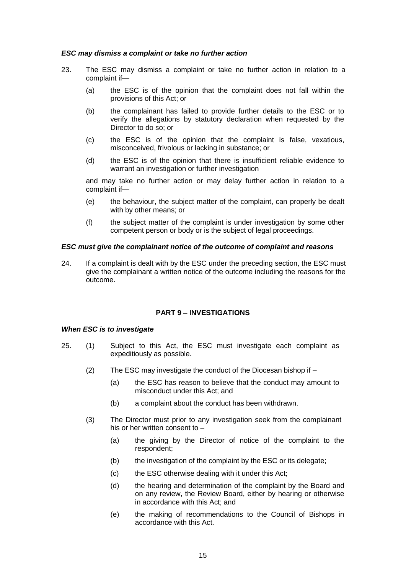## *ESC may dismiss a complaint or take no further action*

- 23. The ESC may dismiss a complaint or take no further action in relation to a complaint if—
	- (a) the ESC is of the opinion that the complaint does not fall within the provisions of this Act; or
	- (b) the complainant has failed to provide further details to the ESC or to verify the allegations by statutory declaration when requested by the Director to do so; or
	- (c) the ESC is of the opinion that the complaint is false, vexatious, misconceived, frivolous or lacking in substance; or
	- (d) the ESC is of the opinion that there is insufficient reliable evidence to warrant an investigation or further investigation

and may take no further action or may delay further action in relation to a complaint if—

- (e) the behaviour, the subject matter of the complaint, can properly be dealt with by other means; or
- (f) the subject matter of the complaint is under investigation by some other competent person or body or is the subject of legal proceedings.

#### *ESC must give the complainant notice of the outcome of complaint and reasons*

24. If a complaint is dealt with by the ESC under the preceding section, the ESC must give the complainant a written notice of the outcome including the reasons for the outcome.

# **PART 9 – INVESTIGATIONS**

#### *When ESC is to investigate*

- 25. (1) Subject to this Act, the ESC must investigate each complaint as expeditiously as possible.
	- (2) The ESC may investigate the conduct of the Diocesan bishop if
		- (a) the ESC has reason to believe that the conduct may amount to misconduct under this Act; and
		- (b) a complaint about the conduct has been withdrawn.
	- (3) The Director must prior to any investigation seek from the complainant his or her written consent to –
		- (a) the giving by the Director of notice of the complaint to the respondent;
		- (b) the investigation of the complaint by the ESC or its delegate;
		- (c) the ESC otherwise dealing with it under this Act;
		- (d) the hearing and determination of the complaint by the Board and on any review, the Review Board, either by hearing or otherwise in accordance with this Act; and
		- (e) the making of recommendations to the Council of Bishops in accordance with this Act.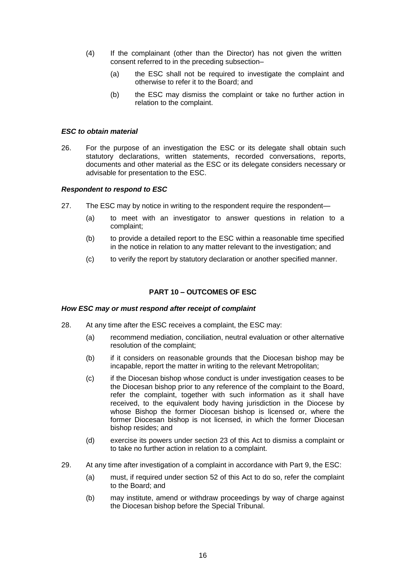- (4) If the complainant (other than the Director) has not given the written consent referred to in the preceding subsection–
	- (a) the ESC shall not be required to investigate the complaint and otherwise to refer it to the Board; and
	- (b) the ESC may dismiss the complaint or take no further action in relation to the complaint.

#### *ESC to obtain material*

26. For the purpose of an investigation the ESC or its delegate shall obtain such statutory declarations, written statements, recorded conversations, reports, documents and other material as the ESC or its delegate considers necessary or advisable for presentation to the ESC.

## *Respondent to respond to ESC*

- 27. The ESC may by notice in writing to the respondent require the respondent—
	- (a) to meet with an investigator to answer questions in relation to a complaint;
	- (b) to provide a detailed report to the ESC within a reasonable time specified in the notice in relation to any matter relevant to the investigation; and
	- (c) to verify the report by statutory declaration or another specified manner.

# **PART 10 – OUTCOMES OF ESC**

#### *How ESC may or must respond after receipt of complaint*

- 28. At any time after the ESC receives a complaint, the ESC may:
	- (a) recommend mediation, conciliation, neutral evaluation or other alternative resolution of the complaint;
	- (b) if it considers on reasonable grounds that the Diocesan bishop may be incapable, report the matter in writing to the relevant Metropolitan;
	- (c) if the Diocesan bishop whose conduct is under investigation ceases to be the Diocesan bishop prior to any reference of the complaint to the Board, refer the complaint, together with such information as it shall have received, to the equivalent body having jurisdiction in the Diocese by whose Bishop the former Diocesan bishop is licensed or, where the former Diocesan bishop is not licensed, in which the former Diocesan bishop resides; and
	- (d) exercise its powers under section 23 of this Act to dismiss a complaint or to take no further action in relation to a complaint.
- 29. At any time after investigation of a complaint in accordance with Part 9, the ESC:
	- (a) must, if required under section 52 of this Act to do so, refer the complaint to the Board; and
	- (b) may institute, amend or withdraw proceedings by way of charge against the Diocesan bishop before the Special Tribunal.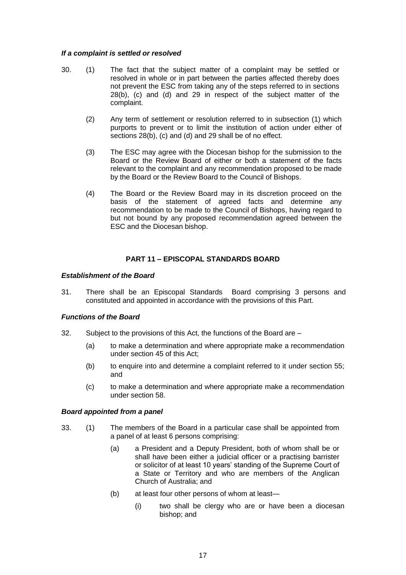## *If a complaint is settled or resolved*

- 30. (1) The fact that the subject matter of a complaint may be settled or resolved in whole or in part between the parties affected thereby does not prevent the ESC from taking any of the steps referred to in sections 28(b), (c) and (d) and 29 in respect of the subject matter of the complaint.
	- (2) Any term of settlement or resolution referred to in subsection (1) which purports to prevent or to limit the institution of action under either of sections 28(b), (c) and (d) and 29 shall be of no effect.
	- (3) The ESC may agree with the Diocesan bishop for the submission to the Board or the Review Board of either or both a statement of the facts relevant to the complaint and any recommendation proposed to be made by the Board or the Review Board to the Council of Bishops.
	- (4) The Board or the Review Board may in its discretion proceed on the basis of the statement of agreed facts and determine any recommendation to be made to the Council of Bishops, having regard to but not bound by any proposed recommendation agreed between the ESC and the Diocesan bishop.

# **PART 11 – EPISCOPAL STANDARDS BOARD**

## *Establishment of the Board*

31. There shall be an Episcopal Standards Board comprising 3 persons and constituted and appointed in accordance with the provisions of this Part.

# *Functions of the Board*

- 32. Subject to the provisions of this Act, the functions of the Board are
	- (a) to make a determination and where appropriate make a recommendation under section 45 of this Act;
	- (b) to enquire into and determine a complaint referred to it under section 55; and
	- (c) to make a determination and where appropriate make a recommendation under section 58.

#### *Board appointed from a panel*

- 33. (1) The members of the Board in a particular case shall be appointed from a panel of at least 6 persons comprising:
	- (a) a President and a Deputy President, both of whom shall be or shall have been either a judicial officer or a practising barrister or solicitor of at least 10 years' standing of the Supreme Court of a State or Territory and who are members of the Anglican Church of Australia; and
	- (b) at least four other persons of whom at least—
		- (i) two shall be clergy who are or have been a diocesan bishop; and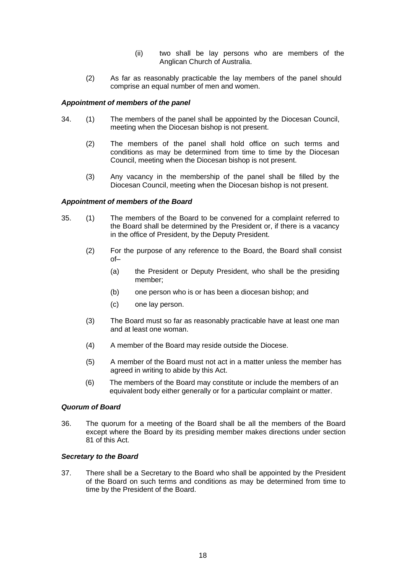- (ii) two shall be lay persons who are members of the Anglican Church of Australia.
- (2) As far as reasonably practicable the lay members of the panel should comprise an equal number of men and women.

## *Appointment of members of the panel*

- 34. (1) The members of the panel shall be appointed by the Diocesan Council, meeting when the Diocesan bishop is not present.
	- (2) The members of the panel shall hold office on such terms and conditions as may be determined from time to time by the Diocesan Council, meeting when the Diocesan bishop is not present.
	- (3) Any vacancy in the membership of the panel shall be filled by the Diocesan Council, meeting when the Diocesan bishop is not present.

## *Appointment of members of the Board*

- 35. (1) The members of the Board to be convened for a complaint referred to the Board shall be determined by the President or, if there is a vacancy in the office of President, by the Deputy President.
	- (2) For the purpose of any reference to the Board, the Board shall consist of–
		- (a) the President or Deputy President, who shall be the presiding member;
		- (b) one person who is or has been a diocesan bishop; and
		- (c) one lay person.
	- (3) The Board must so far as reasonably practicable have at least one man and at least one woman.
	- (4) A member of the Board may reside outside the Diocese.
	- (5) A member of the Board must not act in a matter unless the member has agreed in writing to abide by this Act.
	- (6) The members of the Board may constitute or include the members of an equivalent body either generally or for a particular complaint or matter.

#### *Quorum of Board*

36. The quorum for a meeting of the Board shall be all the members of the Board except where the Board by its presiding member makes directions under section 81 of this Act.

#### *Secretary to the Board*

37. There shall be a Secretary to the Board who shall be appointed by the President of the Board on such terms and conditions as may be determined from time to time by the President of the Board.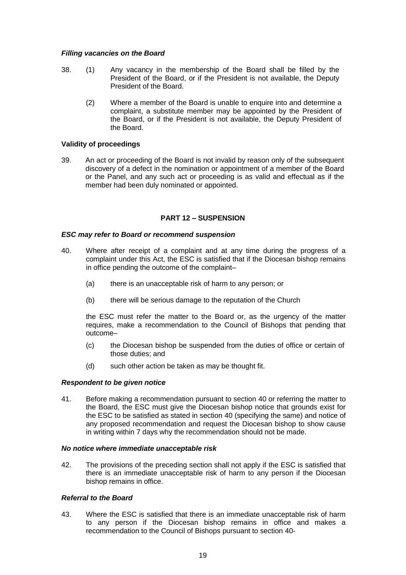## *Filling vacancies on the Board*

- 38. (1) Any vacancy in the membership of the Board shall be filled by the President of the Board, or if the President is not available, the Deputy President of the Board.
	- (2) Where a member of the Board is unable to enquire into and determine a complaint, a substitute member may be appointed by the President of the Board, or if the President is not available, the Deputy President of the Board.

## **Validity of proceedings**

39. An act or proceeding of the Board is not invalid by reason only of the subsequent discovery of a defect in the nomination or appointment of a member of the Board or the Panel, and any such act or proceeding is as valid and effectual as if the member had been duly nominated or appointed.

## **PART 12 – SUSPENSION**

## *ESC may refer to Board or recommend suspension*

- 40. Where after receipt of a complaint and at any time during the progress of a complaint under this Act, the ESC is satisfied that if the Diocesan bishop remains in office pending the outcome of the complaint–
	- (a) there is an unacceptable risk of harm to any person; or
	- (b) there will be serious damage to the reputation of the Church

the ESC must refer the matter to the Board or, as the urgency of the matter requires, make a recommendation to the Council of Bishops that pending that outcome–

- (c) the Diocesan bishop be suspended from the duties of office or certain of those duties; and
- (d) such other action be taken as may be thought fit.

#### *Respondent to be given notice*

41. Before making a recommendation pursuant to section 40 or referring the matter to the Board, the ESC must give the Diocesan bishop notice that grounds exist for the ESC to be satisfied as stated in section 40 (specifying the same) and notice of any proposed recommendation and request the Diocesan bishop to show cause in writing within 7 days why the recommendation should not be made.

#### *No notice where immediate unacceptable risk*

42. The provisions of the preceding section shall not apply if the ESC is satisfied that there is an immediate unacceptable risk of harm to any person if the Diocesan bishop remains in office.

# *Referral to the Board*

43. Where the ESC is satisfied that there is an immediate unacceptable risk of harm to any person if the Diocesan bishop remains in office and makes a recommendation to the Council of Bishops pursuant to section 40-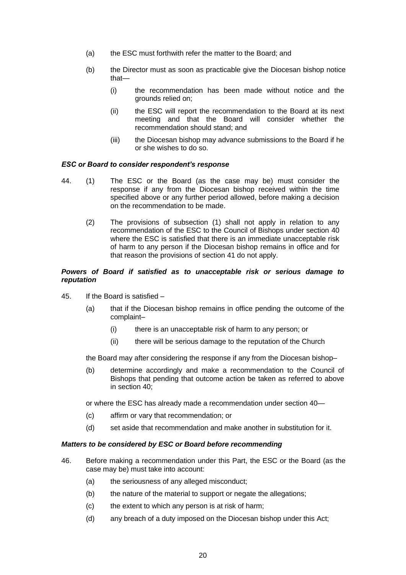- (a) the ESC must forthwith refer the matter to the Board; and
- (b) the Director must as soon as practicable give the Diocesan bishop notice that—
	- (i) the recommendation has been made without notice and the grounds relied on;
	- (ii) the ESC will report the recommendation to the Board at its next meeting and that the Board will consider whether the recommendation should stand; and
	- (iii) the Diocesan bishop may advance submissions to the Board if he or she wishes to do so.

#### *ESC or Board to consider respondent's response*

- 44. (1) The ESC or the Board (as the case may be) must consider the response if any from the Diocesan bishop received within the time specified above or any further period allowed, before making a decision on the recommendation to be made.
	- (2) The provisions of subsection (1) shall not apply in relation to any recommendation of the ESC to the Council of Bishops under section 40 where the ESC is satisfied that there is an immediate unacceptable risk of harm to any person if the Diocesan bishop remains in office and for that reason the provisions of section 41 do not apply.

## *Powers of Board if satisfied as to unacceptable risk or serious damage to reputation*

- 45. If the Board is satisfied
	- (a) that if the Diocesan bishop remains in office pending the outcome of the complaint–
		- (i) there is an unacceptable risk of harm to any person; or
		- (ii) there will be serious damage to the reputation of the Church

the Board may after considering the response if any from the Diocesan bishop–

(b) determine accordingly and make a recommendation to the Council of Bishops that pending that outcome action be taken as referred to above in section 40;

or where the ESC has already made a recommendation under section 40—

- (c) affirm or vary that recommendation; or
- (d) set aside that recommendation and make another in substitution for it.

#### *Matters to be considered by ESC or Board before recommending*

- 46. Before making a recommendation under this Part, the ESC or the Board (as the case may be) must take into account:
	- (a) the seriousness of any alleged misconduct;
	- (b) the nature of the material to support or negate the allegations;
	- (c) the extent to which any person is at risk of harm;
	- (d) any breach of a duty imposed on the Diocesan bishop under this Act;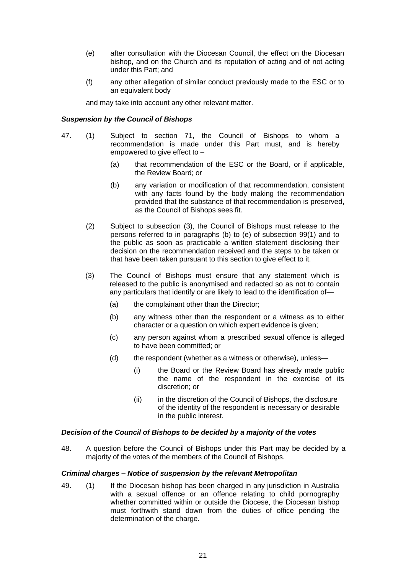- (e) after consultation with the Diocesan Council, the effect on the Diocesan bishop, and on the Church and its reputation of acting and of not acting under this Part; and
- (f) any other allegation of similar conduct previously made to the ESC or to an equivalent body

and may take into account any other relevant matter.

## *Suspension by the Council of Bishops*

- 47. (1) Subject to section 71, the Council of Bishops to whom a recommendation is made under this Part must, and is hereby empowered to give effect to –
	- (a) that recommendation of the ESC or the Board, or if applicable, the Review Board; or
	- (b) any variation or modification of that recommendation, consistent with any facts found by the body making the recommendation provided that the substance of that recommendation is preserved, as the Council of Bishops sees fit.
	- (2) Subject to subsection (3), the Council of Bishops must release to the persons referred to in paragraphs (b) to (e) of subsection 99(1) and to the public as soon as practicable a written statement disclosing their decision on the recommendation received and the steps to be taken or that have been taken pursuant to this section to give effect to it.
	- (3) The Council of Bishops must ensure that any statement which is released to the public is anonymised and redacted so as not to contain any particulars that identify or are likely to lead to the identification of—
		- (a) the complainant other than the Director;
		- (b) any witness other than the respondent or a witness as to either character or a question on which expert evidence is given;
		- (c) any person against whom a prescribed sexual offence is alleged to have been committed; or
		- (d) the respondent (whether as a witness or otherwise), unless—
			- (i) the Board or the Review Board has already made public the name of the respondent in the exercise of its discretion; or
			- (ii) in the discretion of the Council of Bishops, the disclosure of the identity of the respondent is necessary or desirable in the public interest.

#### *Decision of the Council of Bishops to be decided by a majority of the votes*

48. A question before the Council of Bishops under this Part may be decided by a majority of the votes of the members of the Council of Bishops.

#### *Criminal charges – Notice of suspension by the relevant Metropolitan*

49. (1) If the Diocesan bishop has been charged in any jurisdiction in Australia with a sexual offence or an offence relating to child pornography whether committed within or outside the Diocese, the Diocesan bishop must forthwith stand down from the duties of office pending the determination of the charge.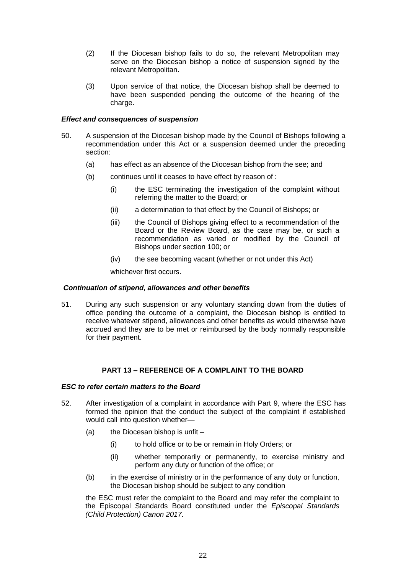- (2) If the Diocesan bishop fails to do so, the relevant Metropolitan may serve on the Diocesan bishop a notice of suspension signed by the relevant Metropolitan.
- (3) Upon service of that notice, the Diocesan bishop shall be deemed to have been suspended pending the outcome of the hearing of the charge.

## *Effect and consequences of suspension*

- 50. A suspension of the Diocesan bishop made by the Council of Bishops following a recommendation under this Act or a suspension deemed under the preceding section:
	- (a) has effect as an absence of the Diocesan bishop from the see; and
	- (b) continues until it ceases to have effect by reason of :
		- (i) the ESC terminating the investigation of the complaint without referring the matter to the Board; or
		- (ii) a determination to that effect by the Council of Bishops; or
		- (iii) the Council of Bishops giving effect to a recommendation of the Board or the Review Board, as the case may be, or such a recommendation as varied or modified by the Council of Bishops under section 100; or
		- (iv) the see becoming vacant (whether or not under this Act)

whichever first occurs.

# *Continuation of stipend, allowances and other benefits*

51. During any such suspension or any voluntary standing down from the duties of office pending the outcome of a complaint, the Diocesan bishop is entitled to receive whatever stipend, allowances and other benefits as would otherwise have accrued and they are to be met or reimbursed by the body normally responsible for their payment.

# **PART 13 – REFERENCE OF A COMPLAINT TO THE BOARD**

# *ESC to refer certain matters to the Board*

- 52. After investigation of a complaint in accordance with Part 9, where the ESC has formed the opinion that the conduct the subject of the complaint if established would call into question whether—
	- (a) the Diocesan bishop is unfit  $-$ 
		- (i) to hold office or to be or remain in Holy Orders; or
		- (ii) whether temporarily or permanently, to exercise ministry and perform any duty or function of the office; or
	- (b) in the exercise of ministry or in the performance of any duty or function, the Diocesan bishop should be subject to any condition

the ESC must refer the complaint to the Board and may refer the complaint to the Episcopal Standards Board constituted under the *Episcopal Standards (Child Protection) Canon 2017.*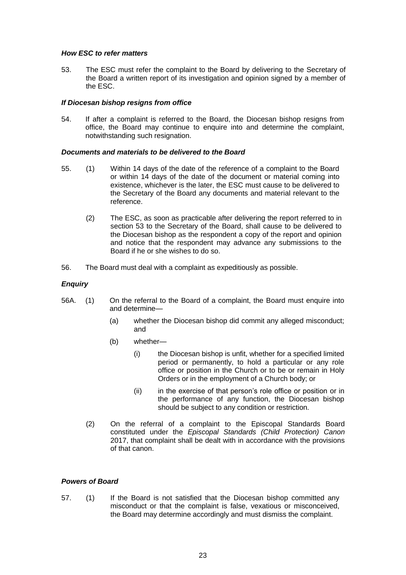# *How ESC to refer matters*

53. The ESC must refer the complaint to the Board by delivering to the Secretary of the Board a written report of its investigation and opinion signed by a member of the ESC.

## *If Diocesan bishop resigns from office*

54. If after a complaint is referred to the Board, the Diocesan bishop resigns from office, the Board may continue to enquire into and determine the complaint, notwithstanding such resignation.

## *Documents and materials to be delivered to the Board*

- 55. (1) Within 14 days of the date of the reference of a complaint to the Board or within 14 days of the date of the document or material coming into existence, whichever is the later, the ESC must cause to be delivered to the Secretary of the Board any documents and material relevant to the reference.
	- (2) The ESC, as soon as practicable after delivering the report referred to in section 53 to the Secretary of the Board, shall cause to be delivered to the Diocesan bishop as the respondent a copy of the report and opinion and notice that the respondent may advance any submissions to the Board if he or she wishes to do so.
- 56. The Board must deal with a complaint as expeditiously as possible.

# *Enquiry*

- 56A. (1) On the referral to the Board of a complaint, the Board must enquire into and determine—
	- (a) whether the Diocesan bishop did commit any alleged misconduct; and
	- (b) whether—
		- (i) the Diocesan bishop is unfit, whether for a specified limited period or permanently, to hold a particular or any role office or position in the Church or to be or remain in Holy Orders or in the employment of a Church body; or
		- (ii) in the exercise of that person's role office or position or in the performance of any function, the Diocesan bishop should be subject to any condition or restriction.
	- (2) On the referral of a complaint to the Episcopal Standards Board constituted under the *Episcopal Standards (Child Protection) Canon* 2017, that complaint shall be dealt with in accordance with the provisions of that canon.

# *Powers of Board*

57. (1) If the Board is not satisfied that the Diocesan bishop committed any misconduct or that the complaint is false, vexatious or misconceived, the Board may determine accordingly and must dismiss the complaint.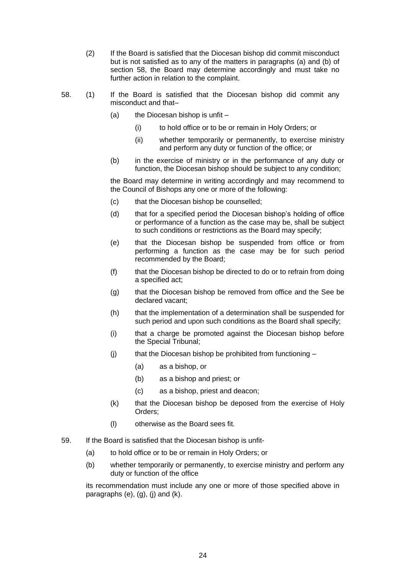- (2) If the Board is satisfied that the Diocesan bishop did commit misconduct but is not satisfied as to any of the matters in paragraphs (a) and (b) of section 58, the Board may determine accordingly and must take no further action in relation to the complaint.
- 58. (1) If the Board is satisfied that the Diocesan bishop did commit any misconduct and that–
	- (a) the Diocesan bishop is unfit  $-$ 
		- (i) to hold office or to be or remain in Holy Orders; or
		- (ii) whether temporarily or permanently, to exercise ministry and perform any duty or function of the office; or
	- (b) in the exercise of ministry or in the performance of any duty or function, the Diocesan bishop should be subject to any condition;

the Board may determine in writing accordingly and may recommend to the Council of Bishops any one or more of the following:

- (c) that the Diocesan bishop be counselled;
- (d) that for a specified period the Diocesan bishop's holding of office or performance of a function as the case may be, shall be subject to such conditions or restrictions as the Board may specify;
- (e) that the Diocesan bishop be suspended from office or from performing a function as the case may be for such period recommended by the Board;
- (f) that the Diocesan bishop be directed to do or to refrain from doing a specified act;
- (g) that the Diocesan bishop be removed from office and the See be declared vacant;
- (h) that the implementation of a determination shall be suspended for such period and upon such conditions as the Board shall specify;
- (i) that a charge be promoted against the Diocesan bishop before the Special Tribunal;
- $(i)$  that the Diocesan bishop be prohibited from functioning
	- (a) as a bishop, or
	- (b) as a bishop and priest; or
	- (c) as a bishop, priest and deacon;
- (k) that the Diocesan bishop be deposed from the exercise of Holy Orders;
- (l) otherwise as the Board sees fit.
- 59. If the Board is satisfied that the Diocesan bishop is unfit-
	- (a) to hold office or to be or remain in Holy Orders; or
	- (b) whether temporarily or permanently, to exercise ministry and perform any duty or function of the office

its recommendation must include any one or more of those specified above in paragraphs  $(e)$ ,  $(g)$ ,  $(j)$  and  $(k)$ .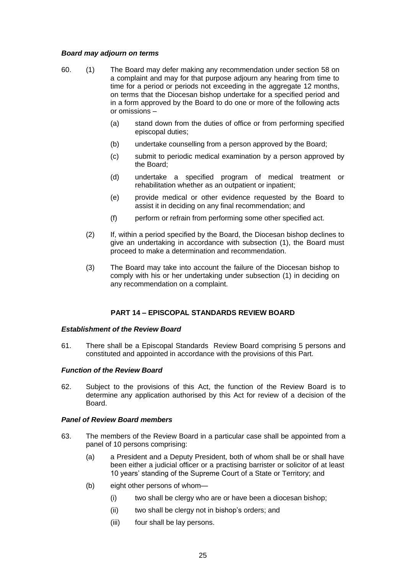# *Board may adjourn on terms*

- 60. (1) The Board may defer making any recommendation under section 58 on a complaint and may for that purpose adjourn any hearing from time to time for a period or periods not exceeding in the aggregate 12 months, on terms that the Diocesan bishop undertake for a specified period and in a form approved by the Board to do one or more of the following acts or omissions –
	- (a) stand down from the duties of office or from performing specified episcopal duties;
	- (b) undertake counselling from a person approved by the Board;
	- (c) submit to periodic medical examination by a person approved by the Board;
	- (d) undertake a specified program of medical treatment or rehabilitation whether as an outpatient or inpatient;
	- (e) provide medical or other evidence requested by the Board to assist it in deciding on any final recommendation; and
	- (f) perform or refrain from performing some other specified act.
	- (2) If, within a period specified by the Board, the Diocesan bishop declines to give an undertaking in accordance with subsection (1), the Board must proceed to make a determination and recommendation.
	- (3) The Board may take into account the failure of the Diocesan bishop to comply with his or her undertaking under subsection (1) in deciding on any recommendation on a complaint.

# **PART 14 – EPISCOPAL STANDARDS REVIEW BOARD**

#### *Establishment of the Review Board*

61. There shall be a Episcopal Standards Review Board comprising 5 persons and constituted and appointed in accordance with the provisions of this Part.

#### *Function of the Review Board*

62. Subject to the provisions of this Act, the function of the Review Board is to determine any application authorised by this Act for review of a decision of the Board.

#### *Panel of Review Board members*

- 63. The members of the Review Board in a particular case shall be appointed from a panel of 10 persons comprising:
	- (a) a President and a Deputy President, both of whom shall be or shall have been either a judicial officer or a practising barrister or solicitor of at least 10 years' standing of the Supreme Court of a State or Territory; and
	- (b) eight other persons of whom—
		- (i) two shall be clergy who are or have been a diocesan bishop;
		- (ii) two shall be clergy not in bishop's orders; and
		- (iii) four shall be lay persons.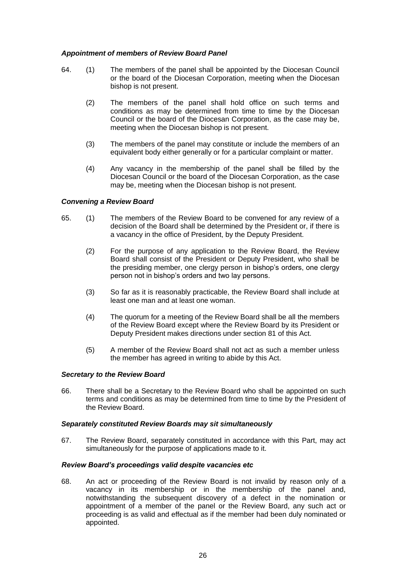# *Appointment of members of Review Board Panel*

- 64. (1) The members of the panel shall be appointed by the Diocesan Council or the board of the Diocesan Corporation, meeting when the Diocesan bishop is not present.
	- (2) The members of the panel shall hold office on such terms and conditions as may be determined from time to time by the Diocesan Council or the board of the Diocesan Corporation, as the case may be, meeting when the Diocesan bishop is not present.
	- (3) The members of the panel may constitute or include the members of an equivalent body either generally or for a particular complaint or matter.
	- (4) Any vacancy in the membership of the panel shall be filled by the Diocesan Council or the board of the Diocesan Corporation, as the case may be, meeting when the Diocesan bishop is not present.

# *Convening a Review Board*

- 65. (1) The members of the Review Board to be convened for any review of a decision of the Board shall be determined by the President or, if there is a vacancy in the office of President, by the Deputy President.
	- (2) For the purpose of any application to the Review Board, the Review Board shall consist of the President or Deputy President, who shall be the presiding member, one clergy person in bishop's orders, one clergy person not in bishop's orders and two lay persons.
	- (3) So far as it is reasonably practicable, the Review Board shall include at least one man and at least one woman.
	- (4) The quorum for a meeting of the Review Board shall be all the members of the Review Board except where the Review Board by its President or Deputy President makes directions under section 81 of this Act.
	- (5) A member of the Review Board shall not act as such a member unless the member has agreed in writing to abide by this Act.

# *Secretary to the Review Board*

66. There shall be a Secretary to the Review Board who shall be appointed on such terms and conditions as may be determined from time to time by the President of the Review Board.

# *Separately constituted Review Boards may sit simultaneously*

67. The Review Board, separately constituted in accordance with this Part, may act simultaneously for the purpose of applications made to it.

# *Review Board's proceedings valid despite vacancies etc*

68. An act or proceeding of the Review Board is not invalid by reason only of a vacancy in its membership or in the membership of the panel and, notwithstanding the subsequent discovery of a defect in the nomination or appointment of a member of the panel or the Review Board, any such act or proceeding is as valid and effectual as if the member had been duly nominated or appointed.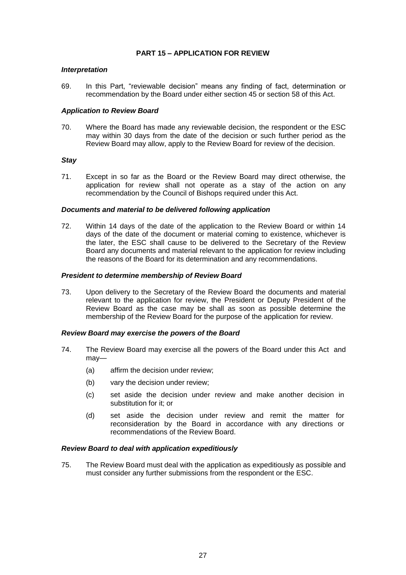# **PART 15 – APPLICATION FOR REVIEW**

## *Interpretation*

69. In this Part, "reviewable decision" means any finding of fact, determination or recommendation by the Board under either section 45 or section 58 of this Act.

## *Application to Review Board*

70. Where the Board has made any reviewable decision, the respondent or the ESC may within 30 days from the date of the decision or such further period as the Review Board may allow, apply to the Review Board for review of the decision.

## *Stay*

71. Except in so far as the Board or the Review Board may direct otherwise, the application for review shall not operate as a stay of the action on any recommendation by the Council of Bishops required under this Act.

## *Documents and material to be delivered following application*

72. Within 14 days of the date of the application to the Review Board or within 14 days of the date of the document or material coming to existence, whichever is the later, the ESC shall cause to be delivered to the Secretary of the Review Board any documents and material relevant to the application for review including the reasons of the Board for its determination and any recommendations.

#### *President to determine membership of Review Board*

73. Upon delivery to the Secretary of the Review Board the documents and material relevant to the application for review, the President or Deputy President of the Review Board as the case may be shall as soon as possible determine the membership of the Review Board for the purpose of the application for review.

#### *Review Board may exercise the powers of the Board*

- 74. The Review Board may exercise all the powers of the Board under this Act and may—
	- (a) affirm the decision under review;
	- (b) vary the decision under review;
	- (c) set aside the decision under review and make another decision in substitution for it; or
	- (d) set aside the decision under review and remit the matter for reconsideration by the Board in accordance with any directions or recommendations of the Review Board.

# *Review Board to deal with application expeditiously*

75. The Review Board must deal with the application as expeditiously as possible and must consider any further submissions from the respondent or the ESC.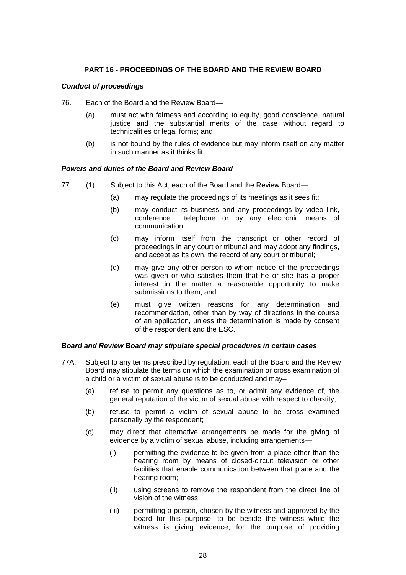# **PART 16 - PROCEEDINGS OF THE BOARD AND THE REVIEW BOARD**

# *Conduct of proceedings*

- 76. Each of the Board and the Review Board—
	- (a) must act with fairness and according to equity, good conscience, natural justice and the substantial merits of the case without regard to technicalities or legal forms; and
	- (b) is not bound by the rules of evidence but may inform itself on any matter in such manner as it thinks fit.

## *Powers and duties of the Board and Review Board*

- 77. (1) Subject to this Act, each of the Board and the Review Board—
	- (a) may regulate the proceedings of its meetings as it sees fit;
	- (b) may conduct its business and any proceedings by video link, conference telephone or by any electronic means of communication;
	- (c) may inform itself from the transcript or other record of proceedings in any court or tribunal and may adopt any findings, and accept as its own, the record of any court or tribunal;
	- (d) may give any other person to whom notice of the proceedings was given or who satisfies them that he or she has a proper interest in the matter a reasonable opportunity to make submissions to them; and
	- (e) must give written reasons for any determination and recommendation, other than by way of directions in the course of an application, unless the determination is made by consent of the respondent and the ESC.

#### *Board and Review Board may stipulate special procedures in certain cases*

- 77A. Subject to any terms prescribed by regulation, each of the Board and the Review Board may stipulate the terms on which the examination or cross examination of a child or a victim of sexual abuse is to be conducted and may–
	- (a) refuse to permit any questions as to, or admit any evidence of, the general reputation of the victim of sexual abuse with respect to chastity;
	- (b) refuse to permit a victim of sexual abuse to be cross examined personally by the respondent;
	- (c) may direct that alternative arrangements be made for the giving of evidence by a victim of sexual abuse, including arrangements—
		- (i) permitting the evidence to be given from a place other than the hearing room by means of closed-circuit television or other facilities that enable communication between that place and the hearing room;
		- (ii) using screens to remove the respondent from the direct line of vision of the witness;
		- (iii) permitting a person, chosen by the witness and approved by the board for this purpose, to be beside the witness while the witness is giving evidence, for the purpose of providing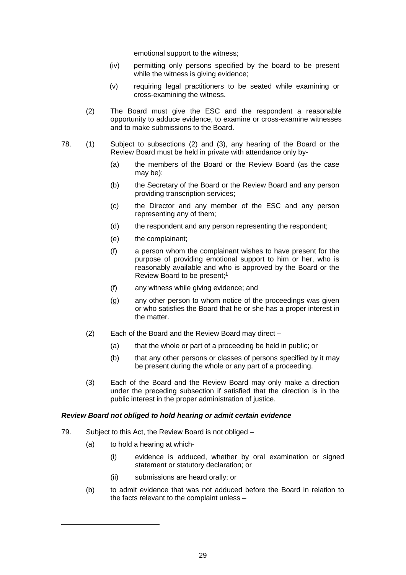emotional support to the witness;

- (iv) permitting only persons specified by the board to be present while the witness is giving evidence:
- (v) requiring legal practitioners to be seated while examining or cross-examining the witness.
- (2) The Board must give the ESC and the respondent a reasonable opportunity to adduce evidence, to examine or cross-examine witnesses and to make submissions to the Board.
- 78. (1) Subject to subsections (2) and (3), any hearing of the Board or the Review Board must be held in private with attendance only by-
	- (a) the members of the Board or the Review Board (as the case may be);
	- (b) the Secretary of the Board or the Review Board and any person providing transcription services;
	- (c) the Director and any member of the ESC and any person representing any of them;
	- (d) the respondent and any person representing the respondent;
	- (e) the complainant;
	- (f) a person whom the complainant wishes to have present for the purpose of providing emotional support to him or her, who is reasonably available and who is approved by the Board or the Review Board to be present;<sup>1</sup>
	- (f) any witness while giving evidence; and
	- (g) any other person to whom notice of the proceedings was given or who satisfies the Board that he or she has a proper interest in the matter.
	- (2) Each of the Board and the Review Board may direct
		- (a) that the whole or part of a proceeding be held in public; or
		- (b) that any other persons or classes of persons specified by it may be present during the whole or any part of a proceeding.
	- (3) Each of the Board and the Review Board may only make a direction under the preceding subsection if satisfied that the direction is in the public interest in the proper administration of justice.

# *Review Board not obliged to hold hearing or admit certain evidence*

- 79. Subject to this Act, the Review Board is not obliged
	- (a) to hold a hearing at which-

 $\overline{a}$ 

- (i) evidence is adduced, whether by oral examination or signed statement or statutory declaration; or
- (ii) submissions are heard orally; or
- (b) to admit evidence that was not adduced before the Board in relation to the facts relevant to the complaint unless –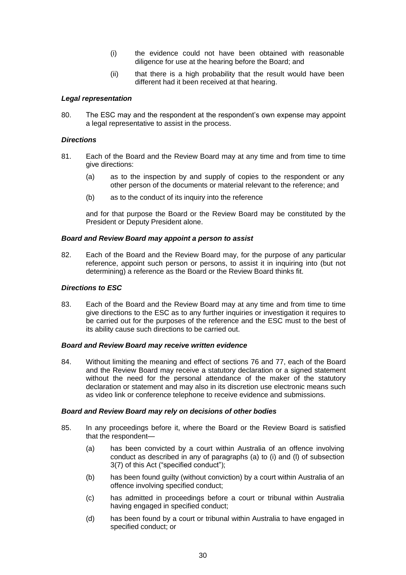- (i) the evidence could not have been obtained with reasonable diligence for use at the hearing before the Board; and
- (ii) that there is a high probability that the result would have been different had it been received at that hearing.

## *Legal representation*

80. The ESC may and the respondent at the respondent's own expense may appoint a legal representative to assist in the process.

## *Directions*

- 81. Each of the Board and the Review Board may at any time and from time to time give directions:
	- (a) as to the inspection by and supply of copies to the respondent or any other person of the documents or material relevant to the reference; and
	- (b) as to the conduct of its inquiry into the reference

and for that purpose the Board or the Review Board may be constituted by the President or Deputy President alone.

#### *Board and Review Board may appoint a person to assist*

82. Each of the Board and the Review Board may, for the purpose of any particular reference, appoint such person or persons, to assist it in inquiring into (but not determining) a reference as the Board or the Review Board thinks fit.

## *Directions to ESC*

83. Each of the Board and the Review Board may at any time and from time to time give directions to the ESC as to any further inquiries or investigation it requires to be carried out for the purposes of the reference and the ESC must to the best of its ability cause such directions to be carried out.

#### *Board and Review Board may receive written evidence*

84. Without limiting the meaning and effect of sections 76 and 77, each of the Board and the Review Board may receive a statutory declaration or a signed statement without the need for the personal attendance of the maker of the statutory declaration or statement and may also in its discretion use electronic means such as video link or conference telephone to receive evidence and submissions.

#### *Board and Review Board may rely on decisions of other bodies*

- 85. In any proceedings before it, where the Board or the Review Board is satisfied that the respondent—
	- (a) has been convicted by a court within Australia of an offence involving conduct as described in any of paragraphs (a) to (i) and (l) of subsection 3(7) of this Act ("specified conduct");
	- (b) has been found guilty (without conviction) by a court within Australia of an offence involving specified conduct;
	- (c) has admitted in proceedings before a court or tribunal within Australia having engaged in specified conduct;
	- (d) has been found by a court or tribunal within Australia to have engaged in specified conduct; or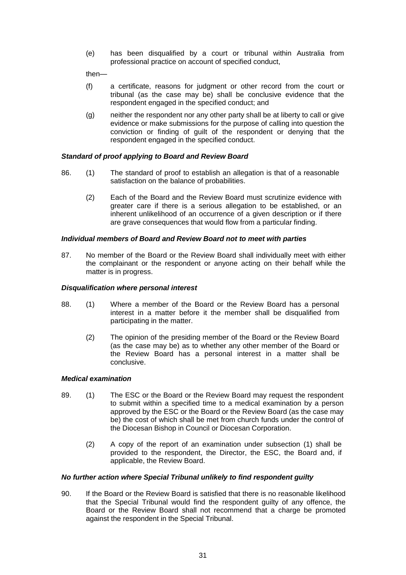(e) has been disqualified by a court or tribunal within Australia from professional practice on account of specified conduct,

then—

- (f) a certificate, reasons for judgment or other record from the court or tribunal (as the case may be) shall be conclusive evidence that the respondent engaged in the specified conduct; and
- (g) neither the respondent nor any other party shall be at liberty to call or give evidence or make submissions for the purpose of calling into question the conviction or finding of guilt of the respondent or denying that the respondent engaged in the specified conduct.

# *Standard of proof applying to Board and Review Board*

- 86. (1) The standard of proof to establish an allegation is that of a reasonable satisfaction on the balance of probabilities.
	- (2) Each of the Board and the Review Board must scrutinize evidence with greater care if there is a serious allegation to be established, or an inherent unlikelihood of an occurrence of a given description or if there are grave consequences that would flow from a particular finding.

# *Individual members of Board and Review Board not to meet with parties*

87. No member of the Board or the Review Board shall individually meet with either the complainant or the respondent or anyone acting on their behalf while the matter is in progress.

## *Disqualification where personal interest*

- 88. (1) Where a member of the Board or the Review Board has a personal interest in a matter before it the member shall be disqualified from participating in the matter.
	- (2) The opinion of the presiding member of the Board or the Review Board (as the case may be) as to whether any other member of the Board or the Review Board has a personal interest in a matter shall be conclusive.

# *Medical examination*

- 89. (1) The ESC or the Board or the Review Board may request the respondent to submit within a specified time to a medical examination by a person approved by the ESC or the Board or the Review Board (as the case may be) the cost of which shall be met from church funds under the control of the Diocesan Bishop in Council or Diocesan Corporation.
	- (2) A copy of the report of an examination under subsection (1) shall be provided to the respondent, the Director, the ESC, the Board and, if applicable, the Review Board.

# *No further action where Special Tribunal unlikely to find respondent guilty*

90. If the Board or the Review Board is satisfied that there is no reasonable likelihood that the Special Tribunal would find the respondent guilty of any offence, the Board or the Review Board shall not recommend that a charge be promoted against the respondent in the Special Tribunal.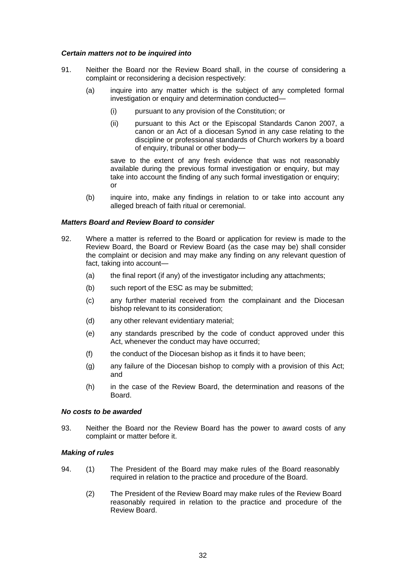## *Certain matters not to be inquired into*

- 91. Neither the Board nor the Review Board shall, in the course of considering a complaint or reconsidering a decision respectively:
	- (a) inquire into any matter which is the subject of any completed formal investigation or enquiry and determination conducted—
		- (i) pursuant to any provision of the Constitution; or
		- (ii) pursuant to this Act or the Episcopal Standards Canon 2007, a canon or an Act of a diocesan Synod in any case relating to the discipline or professional standards of Church workers by a board of enquiry, tribunal or other body—

save to the extent of any fresh evidence that was not reasonably available during the previous formal investigation or enquiry, but may take into account the finding of any such formal investigation or enquiry; or

(b) inquire into, make any findings in relation to or take into account any alleged breach of faith ritual or ceremonial.

## *Matters Board and Review Board to consider*

- 92. Where a matter is referred to the Board or application for review is made to the Review Board, the Board or Review Board (as the case may be) shall consider the complaint or decision and may make any finding on any relevant question of fact, taking into account—
	- (a) the final report (if any) of the investigator including any attachments;
	- (b) such report of the ESC as may be submitted;
	- (c) any further material received from the complainant and the Diocesan bishop relevant to its consideration;
	- (d) any other relevant evidentiary material;
	- (e) any standards prescribed by the code of conduct approved under this Act, whenever the conduct may have occurred;
	- (f) the conduct of the Diocesan bishop as it finds it to have been;
	- (g) any failure of the Diocesan bishop to comply with a provision of this Act; and
	- (h) in the case of the Review Board, the determination and reasons of the Board.

#### *No costs to be awarded*

93. Neither the Board nor the Review Board has the power to award costs of any complaint or matter before it.

# *Making of rules*

- 94. (1) The President of the Board may make rules of the Board reasonably required in relation to the practice and procedure of the Board.
	- (2) The President of the Review Board may make rules of the Review Board reasonably required in relation to the practice and procedure of the Review Board.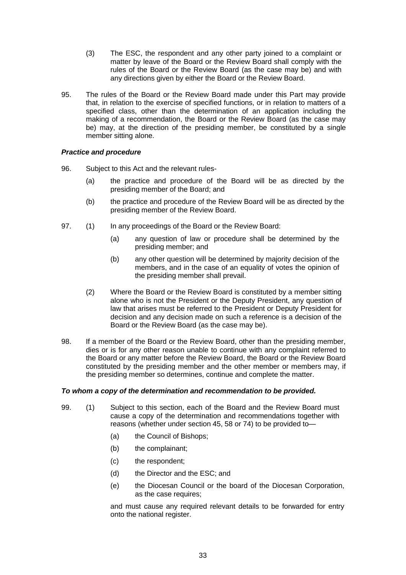- (3) The ESC, the respondent and any other party joined to a complaint or matter by leave of the Board or the Review Board shall comply with the rules of the Board or the Review Board (as the case may be) and with any directions given by either the Board or the Review Board.
- 95. The rules of the Board or the Review Board made under this Part may provide that, in relation to the exercise of specified functions, or in relation to matters of a specified class, other than the determination of an application including the making of a recommendation, the Board or the Review Board (as the case may be) may, at the direction of the presiding member, be constituted by a single member sitting alone.

# *Practice and procedure*

- 96. Subject to this Act and the relevant rules-
	- (a) the practice and procedure of the Board will be as directed by the presiding member of the Board; and
	- (b) the practice and procedure of the Review Board will be as directed by the presiding member of the Review Board.
- 97. (1) In any proceedings of the Board or the Review Board:
	- (a) any question of law or procedure shall be determined by the presiding member; and
	- (b) any other question will be determined by majority decision of the members, and in the case of an equality of votes the opinion of the presiding member shall prevail.
	- (2) Where the Board or the Review Board is constituted by a member sitting alone who is not the President or the Deputy President, any question of law that arises must be referred to the President or Deputy President for decision and any decision made on such a reference is a decision of the Board or the Review Board (as the case may be).
- 98. If a member of the Board or the Review Board, other than the presiding member, dies or is for any other reason unable to continue with any complaint referred to the Board or any matter before the Review Board, the Board or the Review Board constituted by the presiding member and the other member or members may, if the presiding member so determines, continue and complete the matter.

# *To whom a copy of the determination and recommendation to be provided.*

- 99. (1) Subject to this section, each of the Board and the Review Board must cause a copy of the determination and recommendations together with reasons (whether under section 45, 58 or 74) to be provided to—
	- (a) the Council of Bishops;
	- (b) the complainant;
	- (c) the respondent;
	- (d) the Director and the ESC; and
	- (e) the Diocesan Council or the board of the Diocesan Corporation, as the case requires;

and must cause any required relevant details to be forwarded for entry onto the national register.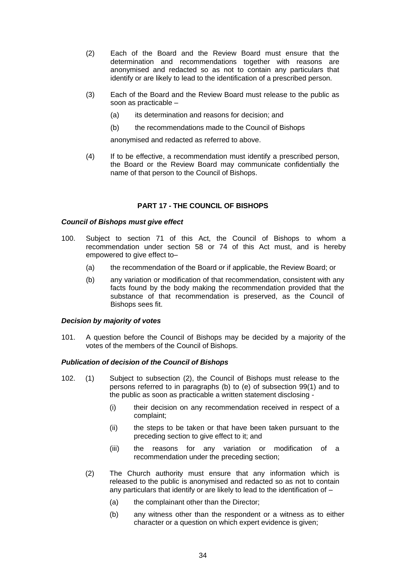- (2) Each of the Board and the Review Board must ensure that the determination and recommendations together with reasons are anonymised and redacted so as not to contain any particulars that identify or are likely to lead to the identification of a prescribed person.
- (3) Each of the Board and the Review Board must release to the public as soon as practicable –
	- (a) its determination and reasons for decision; and
	- (b) the recommendations made to the Council of Bishops

anonymised and redacted as referred to above.

(4) If to be effective, a recommendation must identify a prescribed person, the Board or the Review Board may communicate confidentially the name of that person to the Council of Bishops.

# **PART 17 - THE COUNCIL OF BISHOPS**

## *Council of Bishops must give effect*

- 100. Subject to section 71 of this Act, the Council of Bishops to whom a recommendation under section 58 or 74 of this Act must, and is hereby empowered to give effect to–
	- (a) the recommendation of the Board or if applicable, the Review Board; or
	- (b) any variation or modification of that recommendation, consistent with any facts found by the body making the recommendation provided that the substance of that recommendation is preserved, as the Council of Bishops sees fit.

#### *Decision by majority of votes*

101. A question before the Council of Bishops may be decided by a majority of the votes of the members of the Council of Bishops.

# *Publication of decision of the Council of Bishops*

- 102. (1) Subject to subsection (2), the Council of Bishops must release to the persons referred to in paragraphs (b) to (e) of subsection 99(1) and to the public as soon as practicable a written statement disclosing -
	- (i) their decision on any recommendation received in respect of a complaint;
	- (ii) the steps to be taken or that have been taken pursuant to the preceding section to give effect to it; and
	- (iii) the reasons for any variation or modification of a recommendation under the preceding section;
	- (2) The Church authority must ensure that any information which is released to the public is anonymised and redacted so as not to contain any particulars that identify or are likely to lead to the identification of –
		- (a) the complainant other than the Director;
		- (b) any witness other than the respondent or a witness as to either character or a question on which expert evidence is given;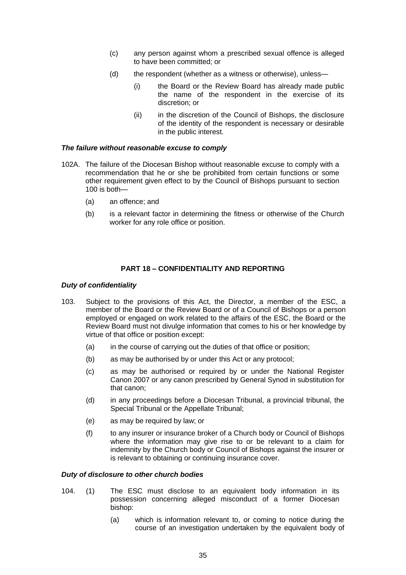- (c) any person against whom a prescribed sexual offence is alleged to have been committed; or
- (d) the respondent (whether as a witness or otherwise), unless—
	- (i) the Board or the Review Board has already made public the name of the respondent in the exercise of its discretion; or
	- (ii) in the discretion of the Council of Bishops, the disclosure of the identity of the respondent is necessary or desirable in the public interest.

# *The failure without reasonable excuse to comply*

- 102A. The failure of the Diocesan Bishop without reasonable excuse to comply with a recommendation that he or she be prohibited from certain functions or some other requirement given effect to by the Council of Bishops pursuant to section 100 is both—
	- (a) an offence; and
	- (b) is a relevant factor in determining the fitness or otherwise of the Church worker for any role office or position.

# **PART 18 – CONFIDENTIALITY AND REPORTING**

# *Duty of confidentiality*

- 103. Subject to the provisions of this Act, the Director, a member of the ESC, a member of the Board or the Review Board or of a Council of Bishops or a person employed or engaged on work related to the affairs of the ESC, the Board or the Review Board must not divulge information that comes to his or her knowledge by virtue of that office or position except:
	- (a) in the course of carrying out the duties of that office or position;
	- (b) as may be authorised by or under this Act or any protocol;
	- (c) as may be authorised or required by or under the National Register Canon 2007 or any canon prescribed by General Synod in substitution for that canon;
	- (d) in any proceedings before a Diocesan Tribunal, a provincial tribunal, the Special Tribunal or the Appellate Tribunal;
	- (e) as may be required by law; or
	- (f) to any insurer or insurance broker of a Church body or Council of Bishops where the information may give rise to or be relevant to a claim for indemnity by the Church body or Council of Bishops against the insurer or is relevant to obtaining or continuing insurance cover.

# *Duty of disclosure to other church bodies*

- 104. (1) The ESC must disclose to an equivalent body information in its possession concerning alleged misconduct of a former Diocesan bishop:
	- (a) which is information relevant to, or coming to notice during the course of an investigation undertaken by the equivalent body of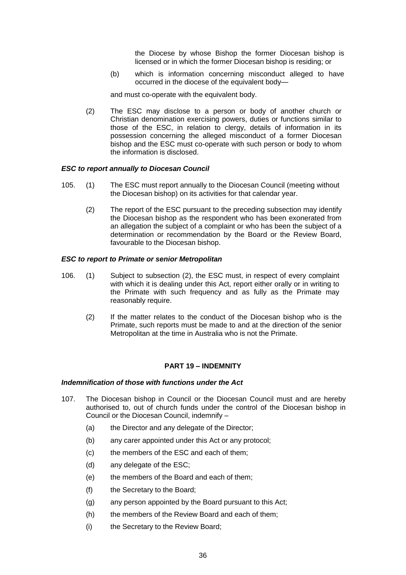the Diocese by whose Bishop the former Diocesan bishop is licensed or in which the former Diocesan bishop is residing; or

(b) which is information concerning misconduct alleged to have occurred in the diocese of the equivalent body—

and must co-operate with the equivalent body.

(2) The ESC may disclose to a person or body of another church or Christian denomination exercising powers, duties or functions similar to those of the ESC, in relation to clergy, details of information in its possession concerning the alleged misconduct of a former Diocesan bishop and the ESC must co-operate with such person or body to whom the information is disclosed.

#### *ESC to report annually to Diocesan Council*

- 105. (1) The ESC must report annually to the Diocesan Council (meeting without the Diocesan bishop) on its activities for that calendar year.
	- (2) The report of the ESC pursuant to the preceding subsection may identify the Diocesan bishop as the respondent who has been exonerated from an allegation the subject of a complaint or who has been the subject of a determination or recommendation by the Board or the Review Board, favourable to the Diocesan bishop.

## *ESC to report to Primate or senior Metropolitan*

- 106. (1) Subject to subsection (2), the ESC must, in respect of every complaint with which it is dealing under this Act, report either orally or in writing to the Primate with such frequency and as fully as the Primate may reasonably require.
	- (2) If the matter relates to the conduct of the Diocesan bishop who is the Primate, such reports must be made to and at the direction of the senior Metropolitan at the time in Australia who is not the Primate.

#### **PART 19 – INDEMNITY**

#### *Indemnification of those with functions under the Act*

- 107. The Diocesan bishop in Council or the Diocesan Council must and are hereby authorised to, out of church funds under the control of the Diocesan bishop in Council or the Diocesan Council, indemnify –
	- (a) the Director and any delegate of the Director;
	- (b) any carer appointed under this Act or any protocol;
	- (c) the members of the ESC and each of them;
	- (d) any delegate of the ESC;
	- (e) the members of the Board and each of them;
	- (f) the Secretary to the Board;
	- (g) any person appointed by the Board pursuant to this Act;
	- (h) the members of the Review Board and each of them;
	- (i) the Secretary to the Review Board;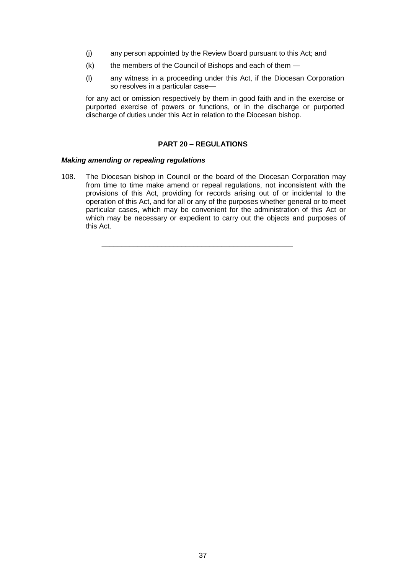- (j) any person appointed by the Review Board pursuant to this Act; and
- $(k)$  the members of the Council of Bishops and each of them  $-$
- (l) any witness in a proceeding under this Act, if the Diocesan Corporation so resolves in a particular case—

for any act or omission respectively by them in good faith and in the exercise or purported exercise of powers or functions, or in the discharge or purported discharge of duties under this Act in relation to the Diocesan bishop.

# **PART 20 – REGULATIONS**

## *Making amending or repealing regulations*

108. The Diocesan bishop in Council or the board of the Diocesan Corporation may from time to time make amend or repeal regulations, not inconsistent with the provisions of this Act, providing for records arising out of or incidental to the operation of this Act, and for all or any of the purposes whether general or to meet particular cases, which may be convenient for the administration of this Act or which may be necessary or expedient to carry out the objects and purposes of this Act.

\_\_\_\_\_\_\_\_\_\_\_\_\_\_\_\_\_\_\_\_\_\_\_\_\_\_\_\_\_\_\_\_\_\_\_\_\_\_\_\_\_\_\_\_\_\_\_\_